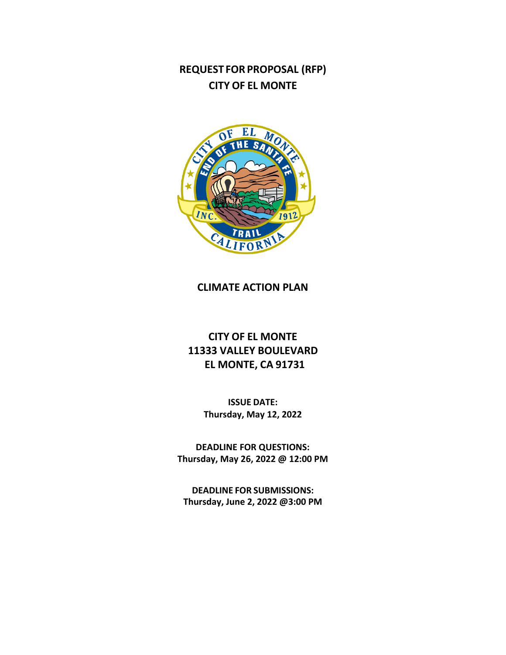# **REQUEST FORPROPOSAL (RFP) CITY OF EL MONTE**



# **CLIMATE ACTION PLAN**

# **CITY OF EL MONTE 11333 VALLEY BOULEVARD EL MONTE, CA 91731**

**ISSUE DATE: Thursday, May 12, 2022**

**DEADLINE FOR QUESTIONS: Thursday, May 26, 2022 @ 12:00 PM**

**DEADLINE FOR SUBMISSIONS: Thursday, June 2, 2022 @3:00 PM**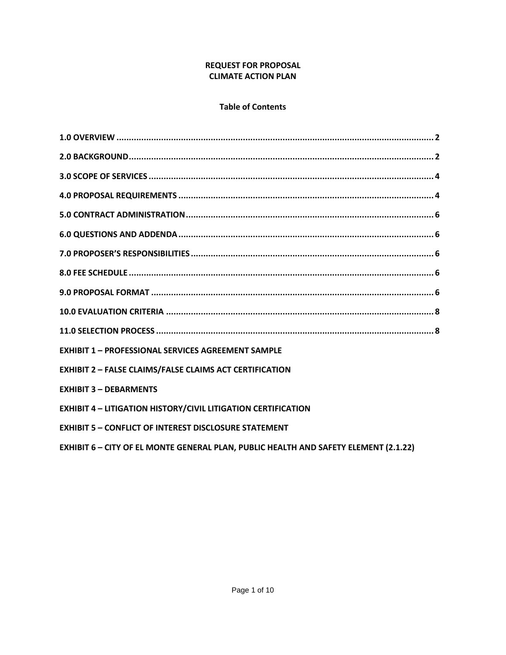## **REQUEST FOR PROPOSAL CLIMATE ACTION PLAN**

# **Table of Contents**

| <b>EXHIBIT 1 - PROFESSIONAL SERVICES AGREEMENT SAMPLE</b>                                   |
|---------------------------------------------------------------------------------------------|
| <b>EXHIBIT 2 - FALSE CLAIMS/FALSE CLAIMS ACT CERTIFICATION</b>                              |
| <b>EXHIBIT 3 - DEBARMENTS</b>                                                               |
| <b>EXHIBIT 4 - LITIGATION HISTORY/CIVIL LITIGATION CERTIFICATION</b>                        |
| <b>EXHIBIT 5 - CONFLICT OF INTEREST DISCLOSURE STATEMENT</b>                                |
| <b>EXHIBIT 6 - CITY OF EL MONTE GENERAL PLAN, PUBLIC HEALTH AND SAFETY ELEMENT (2.1.22)</b> |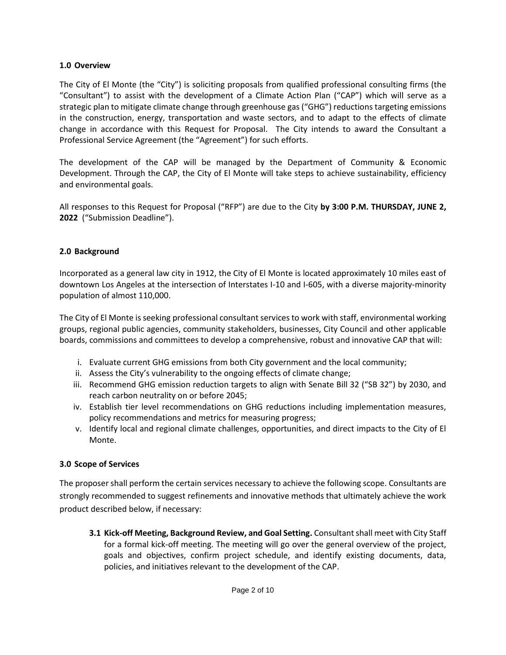## **1.0 Overview**

The City of El Monte (the "City") is soliciting proposals from qualified professional consulting firms (the "Consultant") to assist with the development of a Climate Action Plan ("CAP") which will serve as a strategic plan to mitigate climate change through greenhouse gas ("GHG") reductions targeting emissions in the construction, energy, transportation and waste sectors, and to adapt to the effects of climate change in accordance with this Request for Proposal. The City intends to award the Consultant a Professional Service Agreement (the "Agreement") for such efforts.

The development of the CAP will be managed by the Department of Community & Economic Development. Through the CAP, the City of El Monte will take steps to achieve sustainability, efficiency and environmental goals.

All responses to this Request for Proposal ("RFP") are due to the City **by 3:00 P.M. THURSDAY, JUNE 2, 2022** ("Submission Deadline").

## **2.0 Background**

Incorporated as a general law city in 1912, the City of El Monte is located approximately 10 miles east of downtown Los Angeles at the intersection of Interstates I-10 and I-605, with a diverse majority-minority population of almost 110,000.

The City of El Monte is seeking professional consultant services to work with staff, environmental working groups, regional public agencies, community stakeholders, businesses, City Council and other applicable boards, commissions and committees to develop a comprehensive, robust and innovative CAP that will:

- i. Evaluate current GHG emissions from both City government and the local community;
- ii. Assess the City's vulnerability to the ongoing effects of climate change;
- iii. Recommend GHG emission reduction targets to align with Senate Bill 32 ("SB 32") by 2030, and reach carbon neutrality on or before 2045;
- iv. Establish tier level recommendations on GHG reductions including implementation measures, policy recommendations and metrics for measuring progress;
- v. Identify local and regional climate challenges, opportunities, and direct impacts to the City of El Monte.

# **3.0 Scope of Services**

The proposer shall perform the certain services necessary to achieve the following scope. Consultants are strongly recommended to suggest refinements and innovative methods that ultimately achieve the work product described below, if necessary:

**3.1 Kick-off Meeting, Background Review, and Goal Setting.** Consultant shall meet with City Staff for a formal kick-off meeting. The meeting will go over the general overview of the project, goals and objectives, confirm project schedule, and identify existing documents, data, policies, and initiatives relevant to the development of the CAP.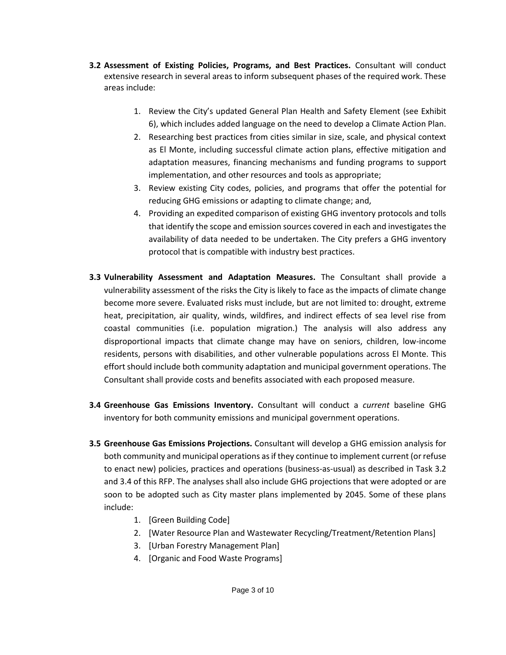- **3.2 Assessment of Existing Policies, Programs, and Best Practices.** Consultant will conduct extensive research in several areas to inform subsequent phases of the required work. These areas include:
	- 1. Review the City's updated General Plan Health and Safety Element (see Exhibit 6), which includes added language on the need to develop a Climate Action Plan.
	- 2. Researching best practices from cities similar in size, scale, and physical context as El Monte, including successful climate action plans, effective mitigation and adaptation measures, financing mechanisms and funding programs to support implementation, and other resources and tools as appropriate;
	- 3. Review existing City codes, policies, and programs that offer the potential for reducing GHG emissions or adapting to climate change; and,
	- 4. Providing an expedited comparison of existing GHG inventory protocols and tolls that identify the scope and emission sources covered in each and investigates the availability of data needed to be undertaken. The City prefers a GHG inventory protocol that is compatible with industry best practices.
- **3.3 Vulnerability Assessment and Adaptation Measures.** The Consultant shall provide a vulnerability assessment of the risks the City is likely to face as the impacts of climate change become more severe. Evaluated risks must include, but are not limited to: drought, extreme heat, precipitation, air quality, winds, wildfires, and indirect effects of sea level rise from coastal communities (i.e. population migration.) The analysis will also address any disproportional impacts that climate change may have on seniors, children, low-income residents, persons with disabilities, and other vulnerable populations across El Monte. This effort should include both community adaptation and municipal government operations. The Consultant shall provide costs and benefits associated with each proposed measure.
- **3.4 Greenhouse Gas Emissions Inventory.** Consultant will conduct a *current* baseline GHG inventory for both community emissions and municipal government operations.
- **3.5 Greenhouse Gas Emissions Projections.** Consultant will develop a GHG emission analysis for both community and municipal operations as if they continue to implement current (or refuse to enact new) policies, practices and operations (business-as-usual) as described in Task 3.2 and 3.4 of this RFP. The analyses shall also include GHG projections that were adopted or are soon to be adopted such as City master plans implemented by 2045. Some of these plans include:
	- 1. [Green Building Code]
	- 2. [Water Resource Plan and Wastewater Recycling/Treatment/Retention Plans]
	- 3. [Urban Forestry Management Plan]
	- 4. [Organic and Food Waste Programs]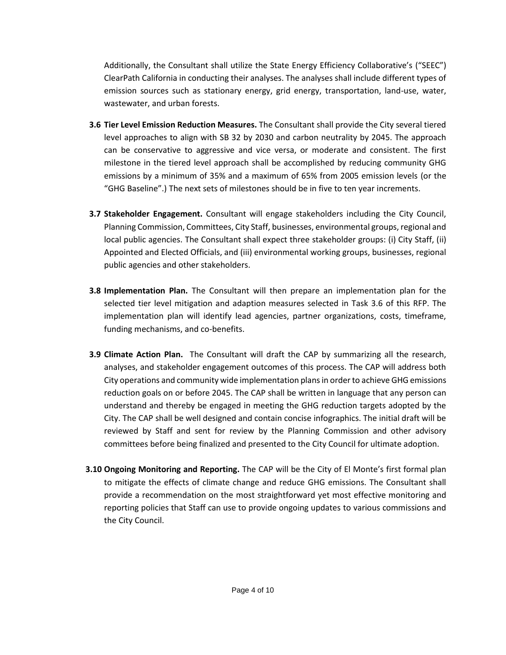Additionally, the Consultant shall utilize the State Energy Efficiency Collaborative's ("SEEC") ClearPath California in conducting their analyses. The analyses shall include different types of emission sources such as stationary energy, grid energy, transportation, land-use, water, wastewater, and urban forests.

- **3.6 Tier Level Emission Reduction Measures.** The Consultant shall provide the City several tiered level approaches to align with SB 32 by 2030 and carbon neutrality by 2045. The approach can be conservative to aggressive and vice versa, or moderate and consistent. The first milestone in the tiered level approach shall be accomplished by reducing community GHG emissions by a minimum of 35% and a maximum of 65% from 2005 emission levels (or the "GHG Baseline".) The next sets of milestones should be in five to ten year increments.
- **3.7 Stakeholder Engagement.** Consultant will engage stakeholders including the City Council, Planning Commission, Committees, City Staff, businesses, environmental groups, regional and local public agencies. The Consultant shall expect three stakeholder groups: (i) City Staff, (ii) Appointed and Elected Officials, and (iii) environmental working groups, businesses, regional public agencies and other stakeholders.
- **3.8 Implementation Plan.** The Consultant will then prepare an implementation plan for the selected tier level mitigation and adaption measures selected in Task 3.6 of this RFP. The implementation plan will identify lead agencies, partner organizations, costs, timeframe, funding mechanisms, and co-benefits.
- **3.9 Climate Action Plan.** The Consultant will draft the CAP by summarizing all the research, analyses, and stakeholder engagement outcomes of this process. The CAP will address both City operations and community wide implementation plans in order to achieve GHG emissions reduction goals on or before 2045. The CAP shall be written in language that any person can understand and thereby be engaged in meeting the GHG reduction targets adopted by the City. The CAP shall be well designed and contain concise infographics. The initial draft will be reviewed by Staff and sent for review by the Planning Commission and other advisory committees before being finalized and presented to the City Council for ultimate adoption.
- **3.10 Ongoing Monitoring and Reporting.** The CAP will be the City of El Monte's first formal plan to mitigate the effects of climate change and reduce GHG emissions. The Consultant shall provide a recommendation on the most straightforward yet most effective monitoring and reporting policies that Staff can use to provide ongoing updates to various commissions and the City Council.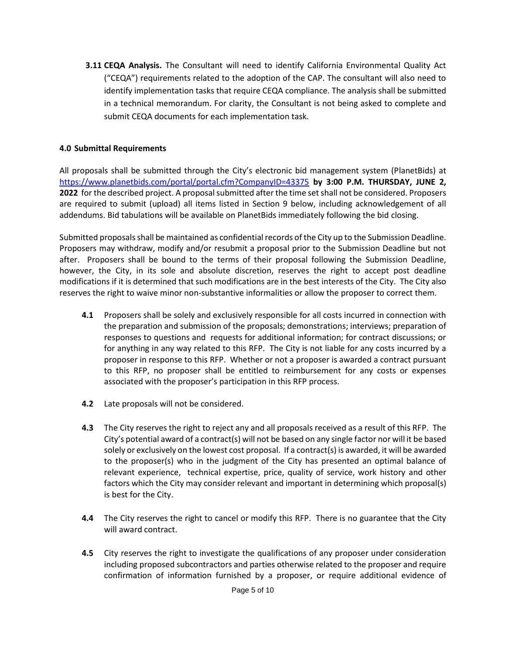**3.11 CEQA Analysis.** The Consultant will need to identify California Environmental Quality Act ("CEQA") requirements related to the adoption of the CAP. The consultant will also need to identify implementation tasks that require CEQA compliance. The analysis shall be submitted in a technical memorandum. For clarity, the Consultant is not being asked to complete and submit CEQA documents for each implementation task.

# **4.0 Submittal Requirements**

All proposals shall be submitted through the City's electronic bid management system (PlanetBids) at <https://www.planetbids.com/portal/portal.cfm?CompanyID=43375> **by 3:00 P.M. THURSDAY, JUNE 2, 2022** for the described project. A proposal submitted after the time set shall not be considered. Proposers are required to submit (upload) all items listed in Section 9 below, including acknowledgement of all addendums. Bid tabulations will be available on PlanetBids immediately following the bid closing.

Submitted proposals shall be maintained as confidential records of the City up to the Submission Deadline. Proposers may withdraw, modify and/or resubmit a proposal prior to the Submission Deadline but not after. Proposers shall be bound to the terms of their proposal following the Submission Deadline, however, the City, in its sole and absolute discretion, reserves the right to accept post deadline modifications if it is determined that such modifications are in the best interests of the City. The City also reserves the right to waive minor non-substantive informalities or allow the proposer to correct them.

- **4.1** Proposers shall be solely and exclusively responsible for all costs incurred in connection with the preparation and submission of the proposals; demonstrations; interviews; preparation of responses to questions and requests for additional information; for contract discussions; or for anything in any way related to this RFP. The City is not liable for any costs incurred by a proposer in response to this RFP. Whether or not a proposer is awarded a contract pursuant to this RFP, no proposer shall be entitled to reimbursement for any costs or expenses associated with the proposer's participation in this RFP process.
- **4.2** Late proposals will not be considered.
- **4.3** The City reserves the right to reject any and all proposals received as a result of this RFP. The City's potential award of a contract(s) will not be based on any single factor nor will it be based solely or exclusively on the lowest cost proposal. If a contract(s) is awarded, it will be awarded to the proposer(s) who in the judgment of the City has presented an optimal balance of relevant experience, technical expertise, price, quality of service, work history and other factors which the City may consider relevant and important in determining which proposal(s) is best for the City.
- **4.4** The City reserves the right to cancel or modify this RFP. There is no guarantee that the City will award contract.
- **4.5** City reserves the right to investigate the qualifications of any proposer under consideration including proposed subcontractors and parties otherwise related to the proposer and require confirmation of information furnished by a proposer, or require additional evidence of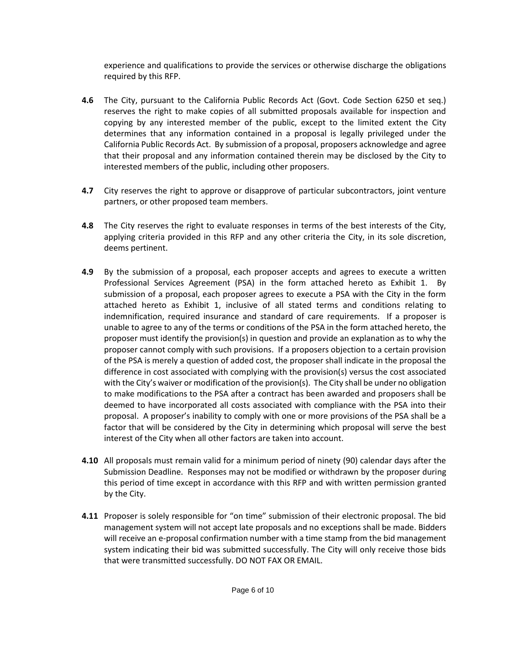experience and qualifications to provide the services or otherwise discharge the obligations required by this RFP.

- **4.6** The City, pursuant to the California Public Records Act (Govt. Code Section 6250 et seq.) reserves the right to make copies of all submitted proposals available for inspection and copying by any interested member of the public, except to the limited extent the City determines that any information contained in a proposal is legally privileged under the California Public Records Act. By submission of a proposal, proposers acknowledge and agree that their proposal and any information contained therein may be disclosed by the City to interested members of the public, including other proposers.
- **4.7** City reserves the right to approve or disapprove of particular subcontractors, joint venture partners, or other proposed team members.
- **4.8** The City reserves the right to evaluate responses in terms of the best interests of the City, applying criteria provided in this RFP and any other criteria the City, in its sole discretion, deems pertinent.
- **4.9** By the submission of a proposal, each proposer accepts and agrees to execute a written Professional Services Agreement (PSA) in the form attached hereto as Exhibit 1. By submission of a proposal, each proposer agrees to execute a PSA with the City in the form attached hereto as Exhibit 1, inclusive of all stated terms and conditions relating to indemnification, required insurance and standard of care requirements. If a proposer is unable to agree to any of the terms or conditions of the PSA in the form attached hereto, the proposer must identify the provision(s) in question and provide an explanation as to why the proposer cannot comply with such provisions. If a proposers objection to a certain provision of the PSA is merely a question of added cost, the proposer shall indicate in the proposal the difference in cost associated with complying with the provision(s) versus the cost associated with the City's waiver or modification of the provision(s). The City shall be under no obligation to make modifications to the PSA after a contract has been awarded and proposers shall be deemed to have incorporated all costs associated with compliance with the PSA into their proposal. A proposer's inability to comply with one or more provisions of the PSA shall be a factor that will be considered by the City in determining which proposal will serve the best interest of the City when all other factors are taken into account.
- **4.10** All proposals must remain valid for a minimum period of ninety (90) calendar days after the Submission Deadline. Responses may not be modified or withdrawn by the proposer during this period of time except in accordance with this RFP and with written permission granted by the City.
- **4.11** Proposer is solely responsible for "on time" submission of their electronic proposal. The bid management system will not accept late proposals and no exceptions shall be made. Bidders will receive an e-proposal confirmation number with a time stamp from the bid management system indicating their bid was submitted successfully. The City will only receive those bids that were transmitted successfully. DO NOT FAX OR EMAIL.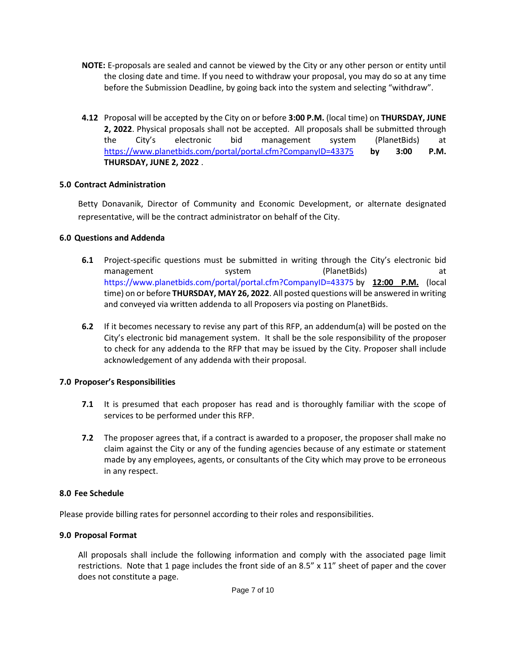- **NOTE:** E-proposals are sealed and cannot be viewed by the City or any other person or entity until the closing date and time. If you need to withdraw your proposal, you may do so at any time before the Submission Deadline, by going back into the system and selecting "withdraw".
- **4.12** Proposal will be accepted by the City on or before **3:00 P.M.** (local time) on **THURSDAY, JUNE 2, 2022**. Physical proposals shall not be accepted. All proposals shall be submitted through the City's electronic bid management system (PlanetBids) at <https://www.planetbids.com/portal/portal.cfm?CompanyID=43375> **by 3:00 P.M. THURSDAY, JUNE 2, 2022** .

## **5.0 Contract Administration**

Betty Donavanik, Director of Community and Economic Development, or alternate designated representative, will be the contract administrator on behalf of the City.

#### **6.0 Questions and Addenda**

- **6.1** Project-specific questions must be submitted in writing through the City's electronic bid management system (PlanetBids) at <https://www.planetbids.com/portal/portal.cfm?CompanyID=43375> by **12:00 P.M.** (local time) on or before **THURSDAY, MAY 26, 2022**. All posted questions will be answered in writing and conveyed via written addenda to all Proposers via posting on PlanetBids.
- **6.2** If it becomes necessary to revise any part of this RFP, an addendum(a) will be posted on the City's electronic bid management system. It shall be the sole responsibility of the proposer to check for any addenda to the RFP that may be issued by the City. Proposer shall include acknowledgement of any addenda with their proposal.

#### **7.0 Proposer's Responsibilities**

- **7.1** It is presumed that each proposer has read and is thoroughly familiar with the scope of services to be performed under this RFP.
- **7.2** The proposer agrees that, if a contract is awarded to a proposer, the proposer shall make no claim against the City or any of the funding agencies because of any estimate or statement made by any employees, agents, or consultants of the City which may prove to be erroneous in any respect.

#### **8.0 Fee Schedule**

Please provide billing rates for personnel according to their roles and responsibilities.

#### **9.0 Proposal Format**

All proposals shall include the following information and comply with the associated page limit restrictions. Note that 1 page includes the front side of an 8.5" x 11" sheet of paper and the cover does not constitute a page.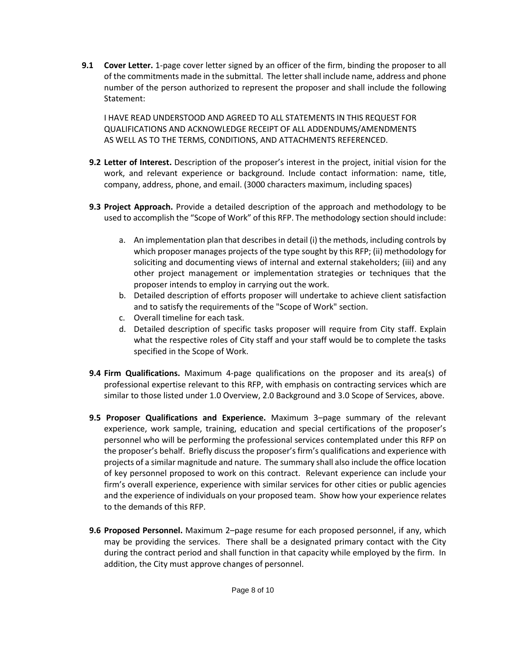**9.1 Cover Letter.** 1-page cover letter signed by an officer of the firm, binding the proposer to all of the commitments made in the submittal. The letter shall include name, address and phone number of the person authorized to represent the proposer and shall include the following Statement:

I HAVE READ UNDERSTOOD AND AGREED TO ALL STATEMENTS IN THIS REQUEST FOR QUALIFICATIONS AND ACKNOWLEDGE RECEIPT OF ALL ADDENDUMS/AMENDMENTS AS WELL AS TO THE TERMS, CONDITIONS, AND ATTACHMENTS REFERENCED.

- **9.2 Letter of Interest.** Description of the proposer's interest in the project, initial vision for the work, and relevant experience or background. Include contact information: name, title, company, address, phone, and email. (3000 characters maximum, including spaces)
- **9.3 Project Approach.** Provide a detailed description of the approach and methodology to be used to accomplish the "Scope of Work" of this RFP. The methodology section should include:
	- a. An implementation plan that describes in detail (i) the methods, including controls by which proposer manages projects of the type sought by this RFP; (ii) methodology for soliciting and documenting views of internal and external stakeholders; (iii) and any other project management or implementation strategies or techniques that the proposer intends to employ in carrying out the work.
	- b. Detailed description of efforts proposer will undertake to achieve client satisfaction and to satisfy the requirements of the "Scope of Work" section.
	- c. Overall timeline for each task.
	- d. Detailed description of specific tasks proposer will require from City staff. Explain what the respective roles of City staff and your staff would be to complete the tasks specified in the Scope of Work.
- **9.4 Firm Qualifications.** Maximum 4-page qualifications on the proposer and its area(s) of professional expertise relevant to this RFP, with emphasis on contracting services which are similar to those listed under 1.0 Overview, 2.0 Background and 3.0 Scope of Services, above.
- **9.5 Proposer Qualifications and Experience.** Maximum 3–page summary of the relevant experience, work sample, training, education and special certifications of the proposer's personnel who will be performing the professional services contemplated under this RFP on the proposer's behalf. Briefly discuss the proposer's firm's qualifications and experience with projects of a similar magnitude and nature. The summary shall also include the office location of key personnel proposed to work on this contract. Relevant experience can include your firm's overall experience, experience with similar services for other cities or public agencies and the experience of individuals on your proposed team. Show how your experience relates to the demands of this RFP.
- **9.6 Proposed Personnel.** Maximum 2–page resume for each proposed personnel, if any, which may be providing the services. There shall be a designated primary contact with the City during the contract period and shall function in that capacity while employed by the firm. In addition, the City must approve changes of personnel.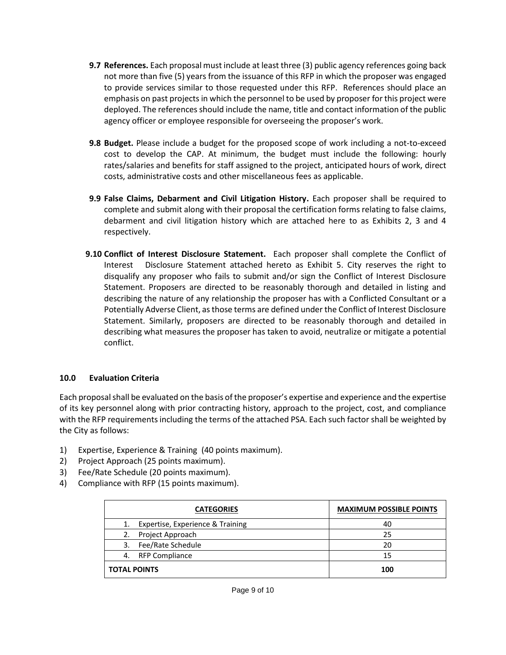- **9.7 References.** Each proposal must include at least three (3) public agency references going back not more than five (5) years from the issuance of this RFP in which the proposer was engaged to provide services similar to those requested under this RFP. References should place an emphasis on past projects in which the personnel to be used by proposer for this project were deployed. The references should include the name, title and contact information of the public agency officer or employee responsible for overseeing the proposer's work.
- **9.8 Budget.** Please include a budget for the proposed scope of work including a not-to-exceed cost to develop the CAP. At minimum, the budget must include the following: hourly rates/salaries and benefits for staff assigned to the project, anticipated hours of work, direct costs, administrative costs and other miscellaneous fees as applicable.
- **9.9 False Claims, Debarment and Civil Litigation History.** Each proposer shall be required to complete and submit along with their proposal the certification forms relating to false claims, debarment and civil litigation history which are attached here to as Exhibits 2, 3 and 4 respectively.
- **9.10 Conflict of Interest Disclosure Statement.** Each proposer shall complete the Conflict of Interest Disclosure Statement attached hereto as Exhibit 5. City reserves the right to disqualify any proposer who fails to submit and/or sign the Conflict of Interest Disclosure Statement. Proposers are directed to be reasonably thorough and detailed in listing and describing the nature of any relationship the proposer has with a Conflicted Consultant or a Potentially Adverse Client, as those terms are defined under the Conflict of Interest Disclosure Statement. Similarly, proposers are directed to be reasonably thorough and detailed in describing what measures the proposer has taken to avoid, neutralize or mitigate a potential conflict.

## **10.0 Evaluation Criteria**

Each proposal shall be evaluated on the basis of the proposer's expertise and experience and the expertise of its key personnel along with prior contracting history, approach to the project, cost, and compliance with the RFP requirements including the terms of the attached PSA. Each such factor shall be weighted by the City as follows:

- 1) Expertise, Experience & Training (40 points maximum).
- 2) Project Approach (25 points maximum).
- 3) Fee/Rate Schedule (20 points maximum).
- 4) Compliance with RFP (15 points maximum).

| <b>CATEGORIES</b>   |                                  | <b>MAXIMUM POSSIBLE POINTS</b> |
|---------------------|----------------------------------|--------------------------------|
| 1.                  | Expertise, Experience & Training | 40                             |
| 2.                  | Project Approach                 | 25                             |
| 3.                  | Fee/Rate Schedule                | 20                             |
| 4.                  | RFP Compliance                   | 15                             |
| <b>TOTAL POINTS</b> |                                  | 100                            |